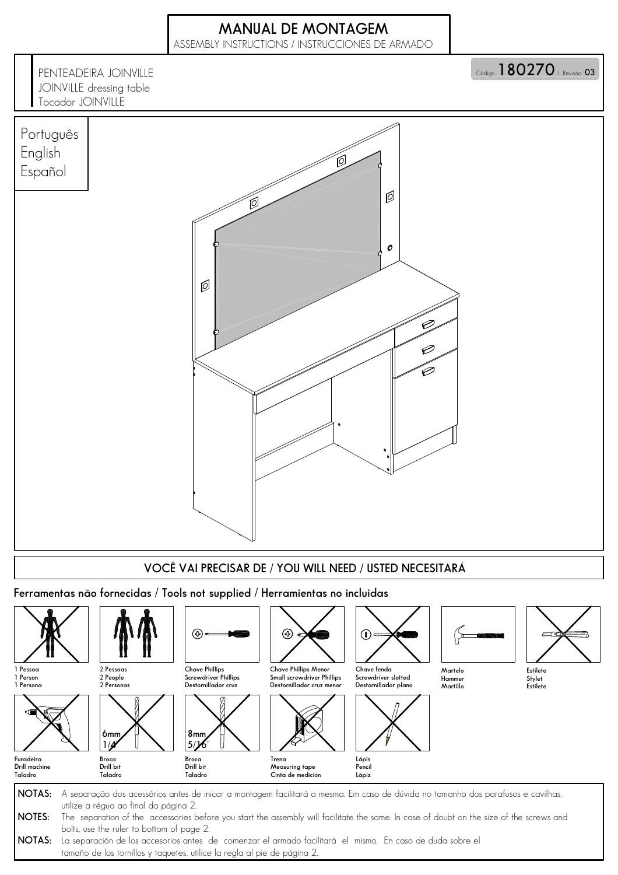## **MANUAL DE MONTAGEM**

ASSEMBLY INSTRUCTIONS / INSTRUCCIONES DE ARMADO

**PENTEADEIRA JOINVILLE** JOINVILLE dressing table Tocador JOINVILLE

Código **| Ō∪∠⁄∪** | Revisão 03



**NOTAS: NOTES: NOTAS:** La separación de los accesorios antes de comenzar el armado facilitará el mismo. En caso de duda sobre el A separação dos acessórios antes de inicar a montagem facilitará a mesma. Em caso de dúvida no tamanho dos parafusos e cavilhas, utilize a régua ao final da página 2. The separation of the accessories before you start the assembly will facilitate the same. In case of doubt on the size of the screws and bolts, use the ruler to bottom of page 2.

tamaño de los tornillos y taquetes, utilice la regla al pie de página 2.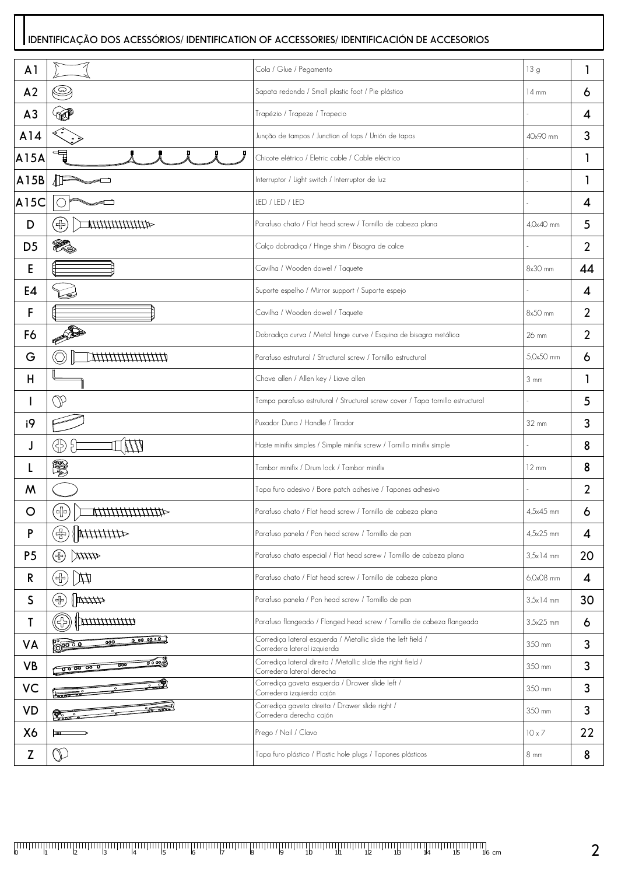#### **IDENTIFICAÇÃO DOS ACESSÓRIOS/ IDENTIFICATION OF ACCESSORIES/ IDENTIFICACIÓN DE ACCESORIOS**

| A <sub>1</sub> |                                                                                            | Cola / Glue / Pegamento                                                                     | 13 g            | 1  |
|----------------|--------------------------------------------------------------------------------------------|---------------------------------------------------------------------------------------------|-----------------|----|
| A <sub>2</sub> | S                                                                                          | Sapata redonda / Small plastic foot / Pie plástico                                          | $14 \text{ mm}$ | 6  |
| A <sub>3</sub> |                                                                                            | Trapézio / Trapeze / Trapecio                                                               |                 | 4  |
| A14            |                                                                                            | Junção de tampos / Junction of tops / Unión de tapas                                        | 40x90 mm        | 3  |
| A15A           | ▜                                                                                          | Chicote elétrico / Eletric cable / Cable eléctrico                                          |                 | 1  |
| A15B           |                                                                                            | Interruptor / Light switch / Interruptor de luz                                             |                 |    |
| AI5C           |                                                                                            | LED / LED / LED                                                                             |                 | 4  |
| D              | (╬<br>41111111111114                                                                       | Parafuso chato / Flat head screw / Tornillo de cabeza plana                                 | 4,0x40 mm       | 5  |
| D <sub>5</sub> | Y.                                                                                         | Calço dobradiça / Hinge shim / Bisagra de calce                                             |                 | 2  |
| Е              |                                                                                            | Cavilha / Wooden dowel / Taquete                                                            | $8x30$ mm       | 44 |
| E4             |                                                                                            | Suporte espelho / Mirror support / Suporte espejo                                           |                 | 4  |
| F              |                                                                                            | Cavilha / Wooden dowel / Taquete                                                            | 8x50 mm         | 2  |
| F6             | PARTIES OF                                                                                 | Dobradiça curva / Metal hinge curve / Esquina de bisagra metálica                           | 26 mm           | 2  |
| G              |                                                                                            | Parafuso estrutural / Structural screw / Tornillo estructural                               | 5,0x50 mm       | 6  |
| Н              |                                                                                            | Chave allen / Allen key / Liave allen                                                       | $3 \text{ mm}$  |    |
|                | V                                                                                          | Tampa parafuso estrutural / Structural screw cover / Tapa tornillo estructural              |                 | 5  |
| i9             |                                                                                            | Puxador Duna / Handle / Tirador                                                             | 32 mm           | 3  |
| J              | 65<br>F                                                                                    | Haste minifix simples / Simple minifix screw / Tornillo minifix simple                      |                 | 8  |
| L              | S.                                                                                         | Tambor minifix / Drum lock / Tambor minifix                                                 | $12 \text{ mm}$ | 8  |
| W              |                                                                                            | Tapa furo adesivo / Bore patch adhesive / Tapones adhesivo                                  |                 | 2  |
| O              | 缶<br>1//////////                                                                           | Parafuso chato / Flat head screw / Tornillo de cabeza plana                                 | 4,5x45 mm       | 6  |
| P              | (ポ)<br>411111111                                                                           | Parafuso panela / Pan head screw / Tornillo de pan                                          | 4,5x25 mm       | 4  |
| P <sub>5</sub> | $\frac{4}{4}$<br>(品)                                                                       | Parafuso chato especial / Flat head screw / Tornillo de cabeza plana                        | $3.5x14$ mm     | 20 |
| R              | (品)<br>H                                                                                   | Parafuso chato / Flat head screw / Tornillo de cabeza plana                                 | 6,0x08 mm       | 4  |
| S              | (品)<br>$\Vert \overline{\text{max}}$                                                       | Parafuso panela / Pan head screw / Tornillo de pan                                          | $3,5x$ 14 mm    | 30 |
| T              | $\left(\hspace{-2pt}\left\langle \cdot \right\rangle\hspace{-2pt}\right)$<br>$\frac{1}{2}$ | Parafuso flangeado / Flanged head screw / Tornillo de cabeza flangeada                      | 3,5x25 mm       | 6  |
| VA             | 0.000000<br>000<br>00000                                                                   | Corrediça lateral esquerda / Metallic slide the left field /<br>Corredera lateral izquierda | 350 mm          | 3  |
| <b>VB</b>      | ಕ್ಷ್<br>$\overline{\circ}$                                                                 | Corrediça lateral direita / Metallic slide the right field /<br>Corredera lateral derecha   | 350 mm          | 3  |
| VC             | $\frac{1}{2000}$                                                                           | Corrediça gaveta esquerda / Drawer slide left /<br>Corredera izquierda cajón                | 350 mm          | 3  |
| VD             | $\frac{2}{\sqrt{2}}$<br><b>Property</b>                                                    | Corrediça gaveta direita / Drawer slide right /<br>Corredera derecha cajón                  | 350 mm          | 3  |
| X6             |                                                                                            | Prego / Nail / Clavo                                                                        | $10 \times 7$   | 22 |
| Z              | $\mathbb{O}$                                                                               | Tapa furo plástico / Plastic hole plugs / Tapones plásticos                                 | 8 mm            | 8  |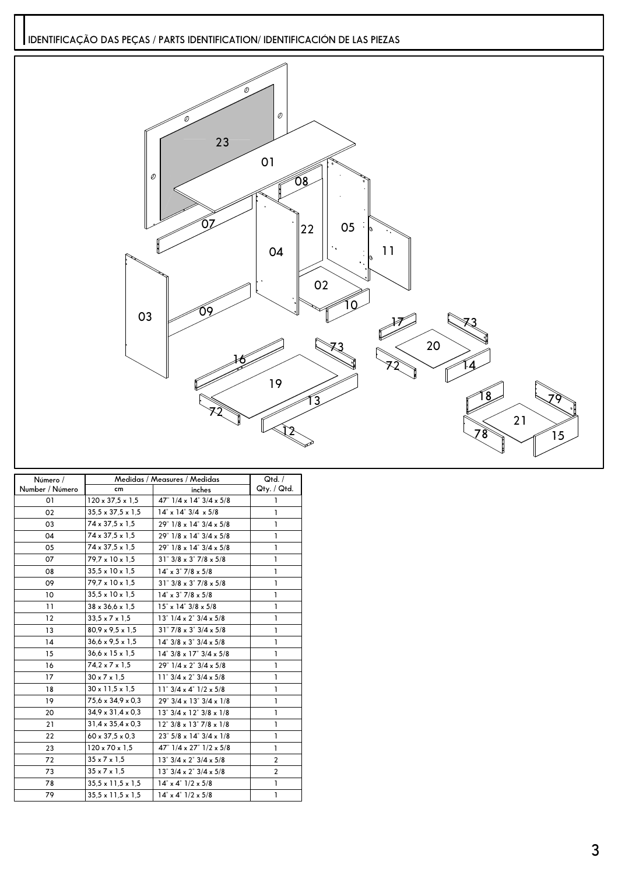**IDENTIFICAÇÃO DAS PEÇAS / PARTS IDENTIFICATION/ IDENTIFICACIÓN DE LAS PIEZAS**



| Número /        | Medidas / Measures / Medidas  |                                                | Qtd. /                  |
|-----------------|-------------------------------|------------------------------------------------|-------------------------|
| Number / Número | cm                            | inches                                         | Qty. / Qtd.             |
| 01              | $120 \times 37.5 \times 1.5$  | 47" $1/4 \times 14$ " $3/4 \times 5/8$         | ı                       |
| 02              | $35.5 \times 37.5 \times 1.5$ | $14^{\circ} \times 14^{\circ} 3/4 \times 5/8$  | 1                       |
| 03              | 74 x 37,5 x 1,5               | 29" 1/8 x 14" 3/4 x 5/8                        | ı                       |
| 04              | $74 \times 37.5 \times 1.5$   | $29"$ 1/8 x 14" $3/4 \times 5/8$               | ı                       |
| 05              | $74 \times 37.5 \times 1.5$   | 29" 1/8 x 14" 3/4 x 5/8                        | 1                       |
| 07              | 79,7 x 10 x 1,5               | $31" 3/8 \times 3" 7/8 \times 5/8$             | ı                       |
| 80              | $35.5 \times 10 \times 1.5$   | $14^{\circ} \times 3^{\circ}$ 7/8 $\times$ 5/8 | ı                       |
| 09              | 79,7 x 10 x 1,5               | $31^{\degree}$ 3/8 x 3 $^{\degree}$ 7/8 x 5/8  | 1                       |
| 10              | $35.5 \times 10 \times 1.5$   | $14^{\circ} \times 3^{\circ}$ 7/8 $\times$ 5/8 | ı                       |
| 11              | $38 \times 36.6 \times 1.5$   | $15" \times 14" 3/8 \times 5/8$                | ı                       |
| 12              | $33.5 \times 7 \times 1.5$    | $13" 1/4 \times 2" 3/4 \times 5/8$             | <sub>1</sub>            |
| 13              | $80.9 \times 9.5 \times 1.5$  | $31" 7/8 \times 3" 3/4 \times 5/8$             | $\mathbf{I}$            |
| 14              | $36.6 \times 9.5 \times 1.5$  | $14^{\circ}$ 3/8 x 3 $^{\circ}$ 3/4 x 5/8      | 1                       |
| 15              | $36.6 \times 15 \times 1.5$   | $14^{\circ}$ 3/8 x 17 $^{\circ}$ 3/4 x 5/8     | ı                       |
| 16              | $74.2 \times 7 \times 1.5$    | 29" $1/4 \times 2$ " $3/4 \times 5/8$          | 1                       |
| 17              | $30 \times 7 \times 1.5$      | $11" 3/4 \times 2" 3/4 \times 5/8$             | ı                       |
| 18              | $30 \times 11.5 \times 1.5$   | $11^{\degree}$ 3/4 x 4 $^{\degree}$ 1/2 x 5/8  | ı                       |
| 19              | 75,6 x 34,9 x 0,3             | 29" 3/4 x 13" 3/4 x 1/8                        | ı                       |
| 20              | $34.9 \times 31.4 \times 0.3$ | $13" 3/4 \times 12" 3/8 \times 1/8$            | 1                       |
| 21              | $31.4 \times 35.4 \times 0.3$ | $12^{\degree}$ 3/8 x 13 $^{\degree}$ 7/8 x 1/8 | 1                       |
| 22              | $60 \times 37.5 \times 0.3$   | $23^{\circ}$ 5/8 x 14 $^{\circ}$ 3/4 x 1/8     | <sub>1</sub>            |
| 23              | $120 \times 70 \times 1.5$    | 47" $1/4 \times 27$ " $1/2 \times 5/8$         | ı                       |
| 72              | $35 \times 7 \times 1.5$      | $13" 3/4 \times 2" 3/4 \times 5/8$             | 2                       |
| 73              | $35 \times 7 \times 1.5$      | $13^{\circ}$ 3/4 x 2" 3/4 x 5/8                | $\overline{\mathbf{c}}$ |
| 78              | $35.5 \times 11.5 \times 1.5$ | $14^{\circ} \times 4^{\circ}$ $1/2 \times 5/8$ | 1                       |
| 79              | $35.5 \times 11.5 \times 1.5$ | $14^{\circ} \times 4^{\circ}$ $1/2 \times 5/8$ | 1                       |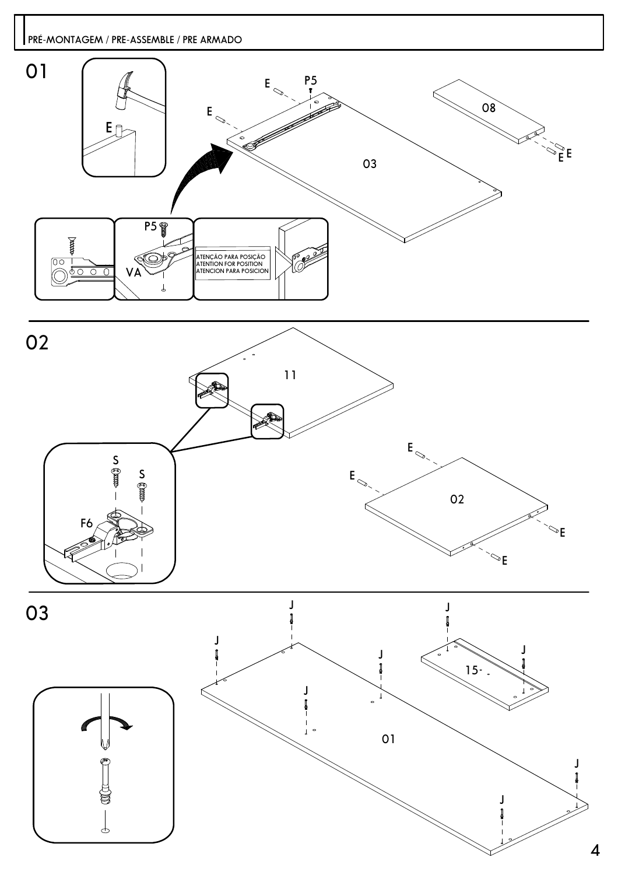### **PRÉ-MONTAGEM / PRE-ASSEMBLE / PRE ARMADO**









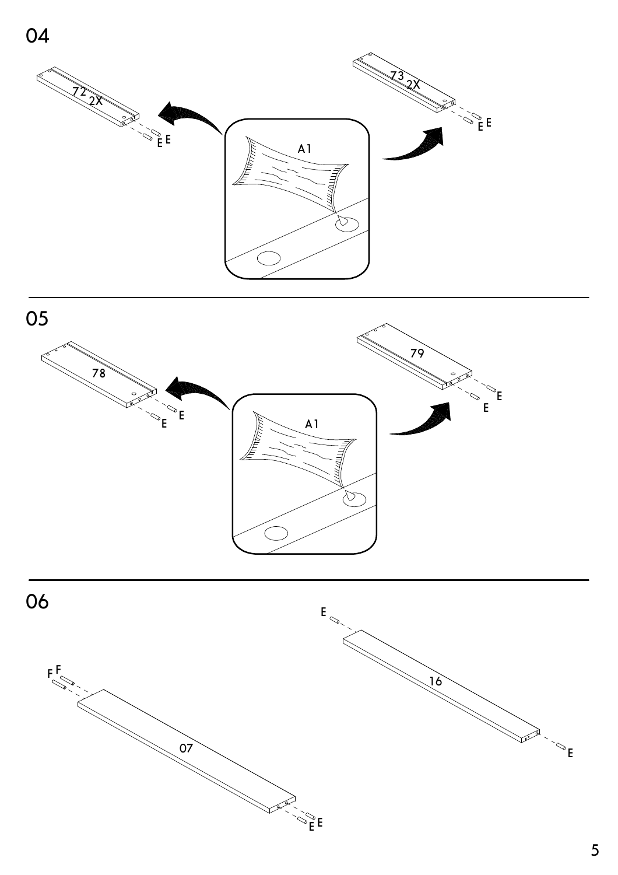



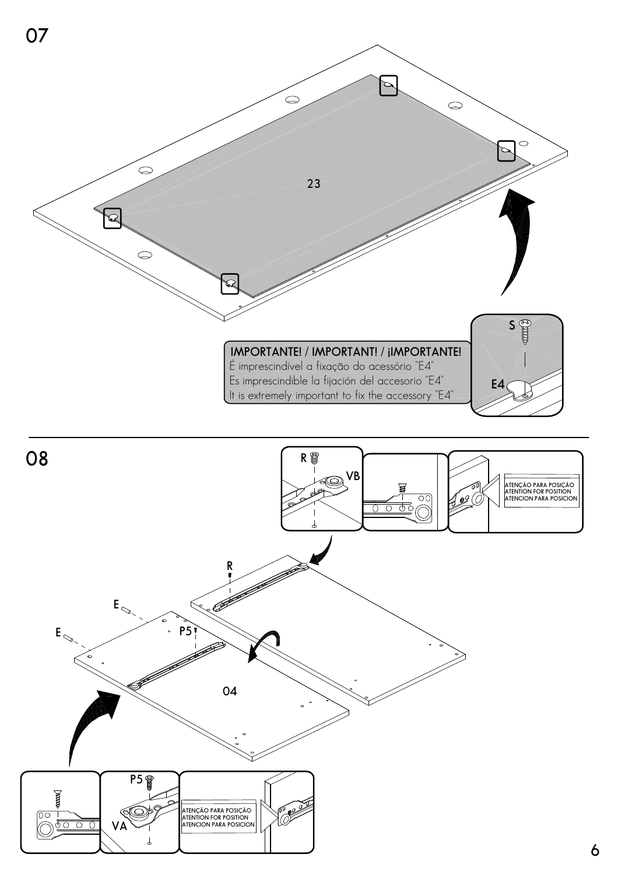

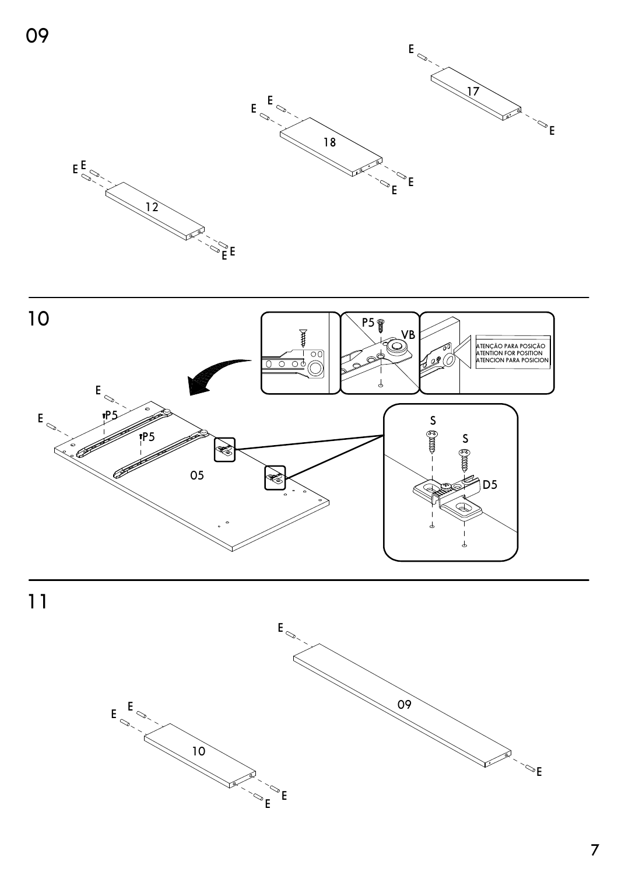







 $\overline{7}$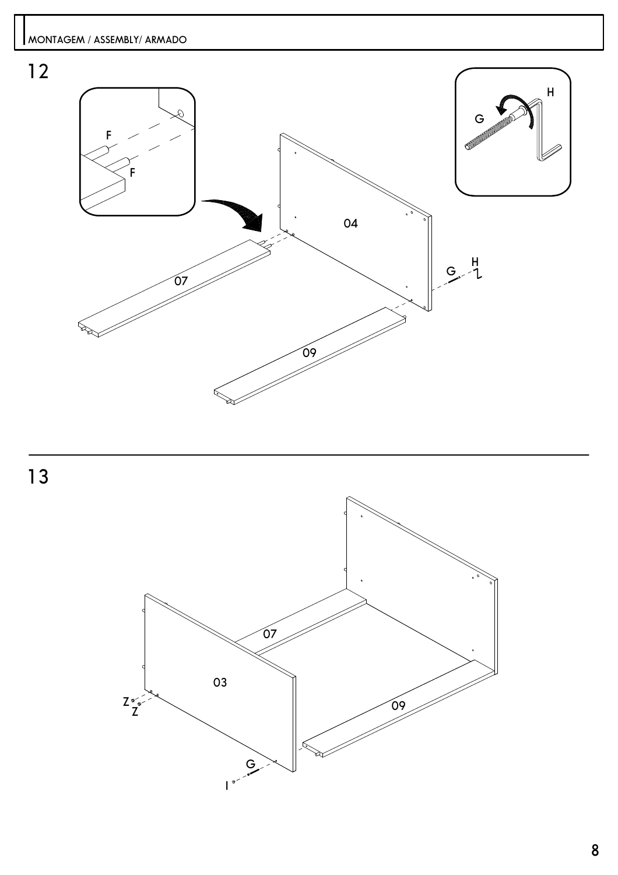

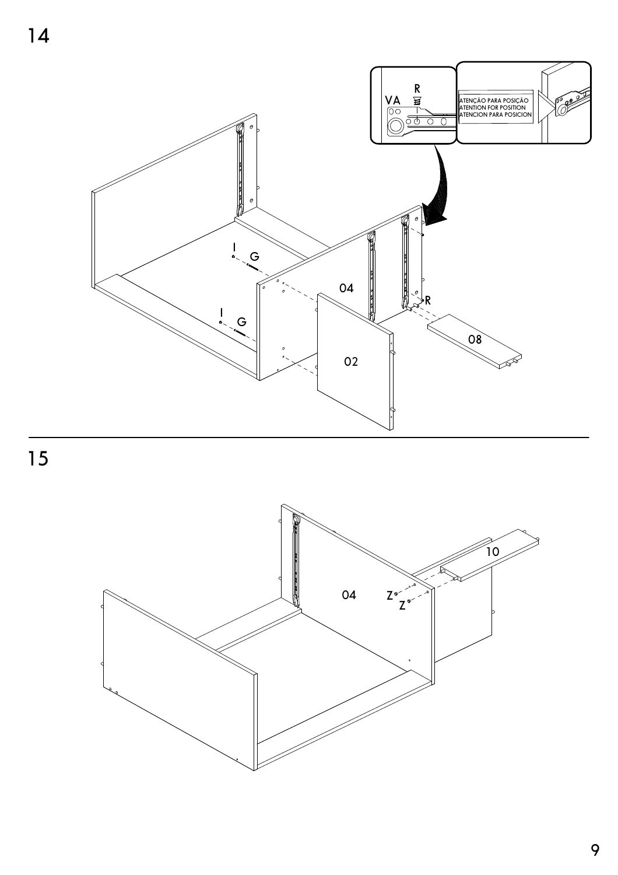

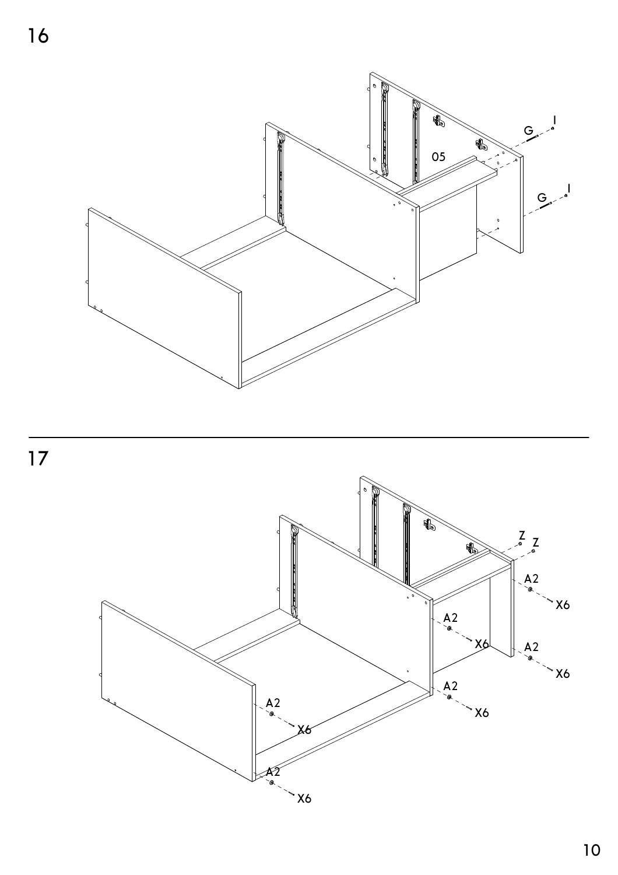



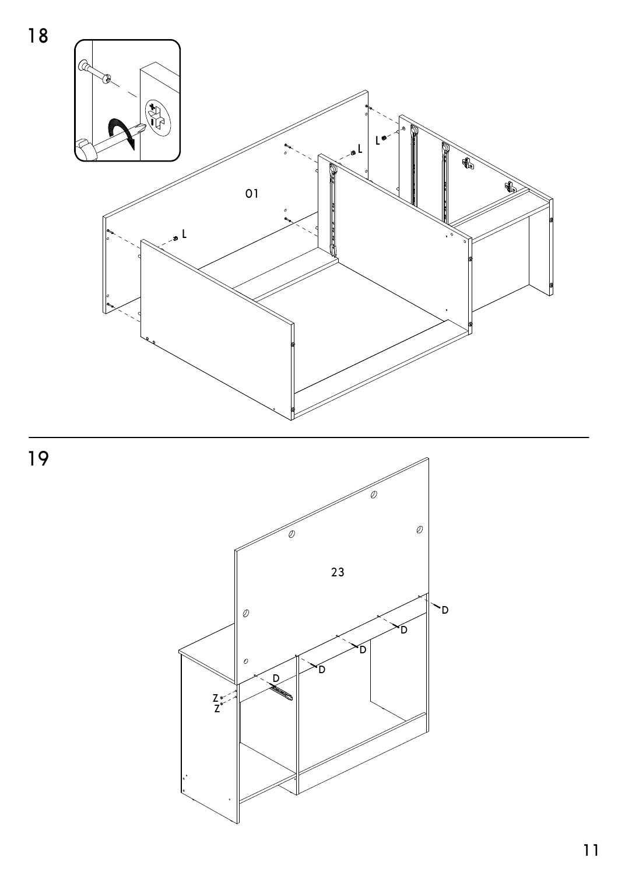



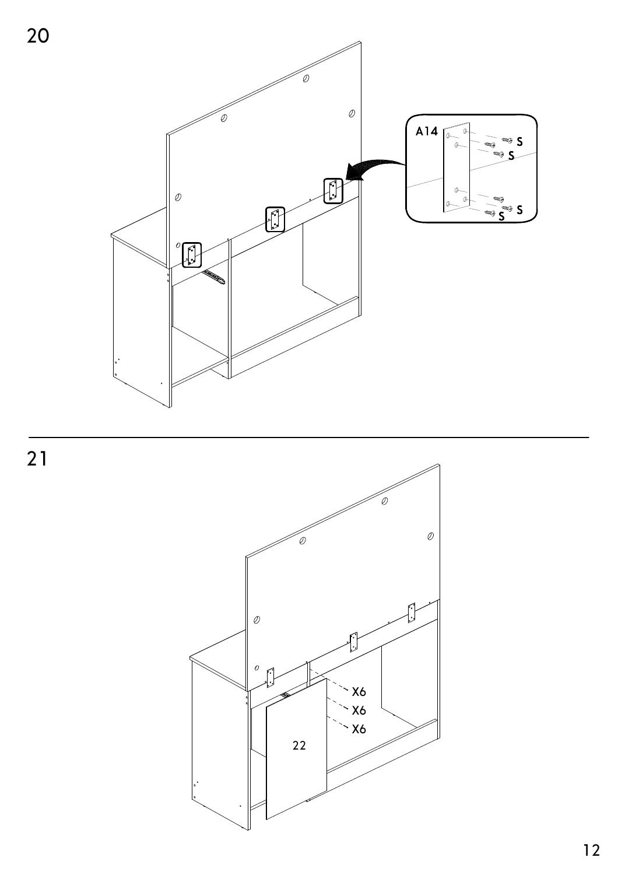

 $\overline{21}$ 

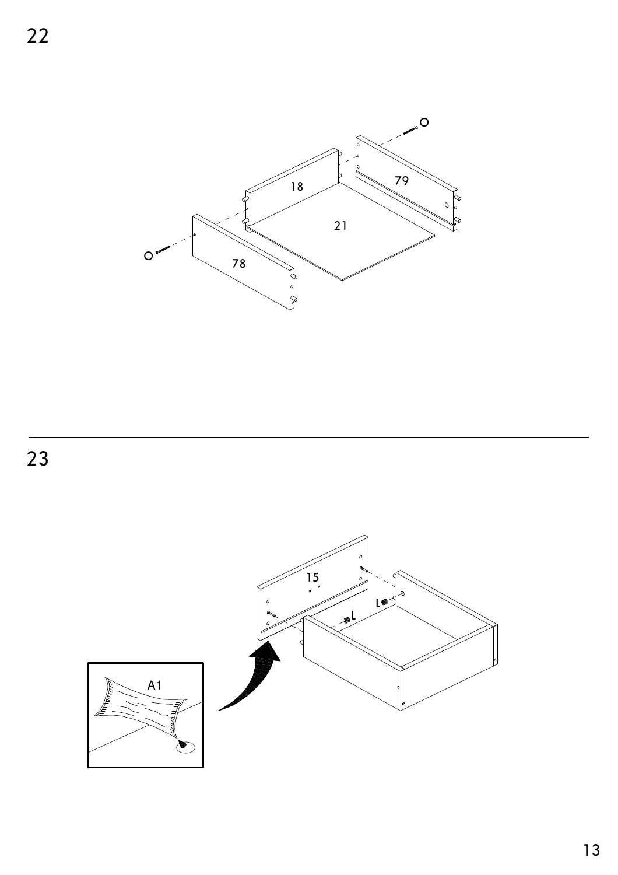

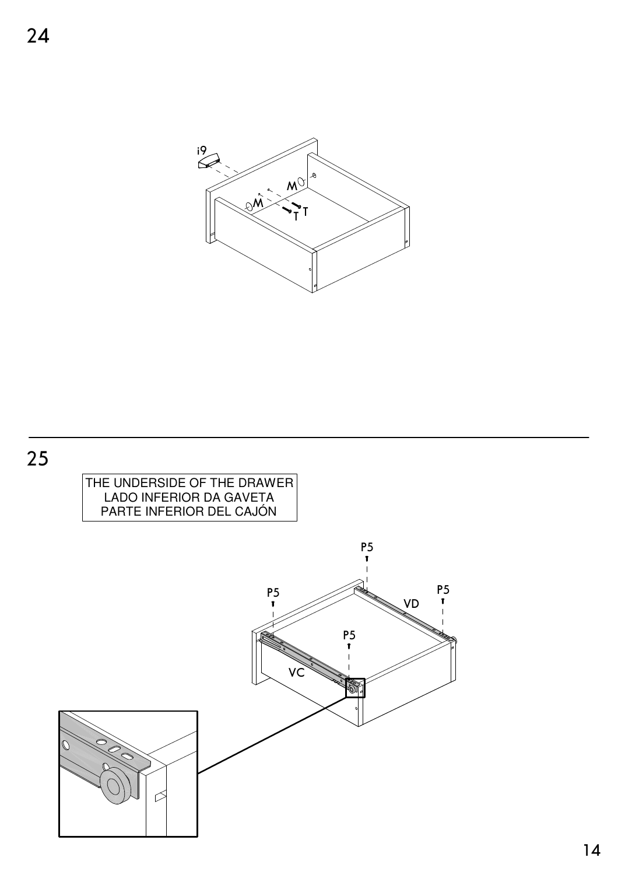

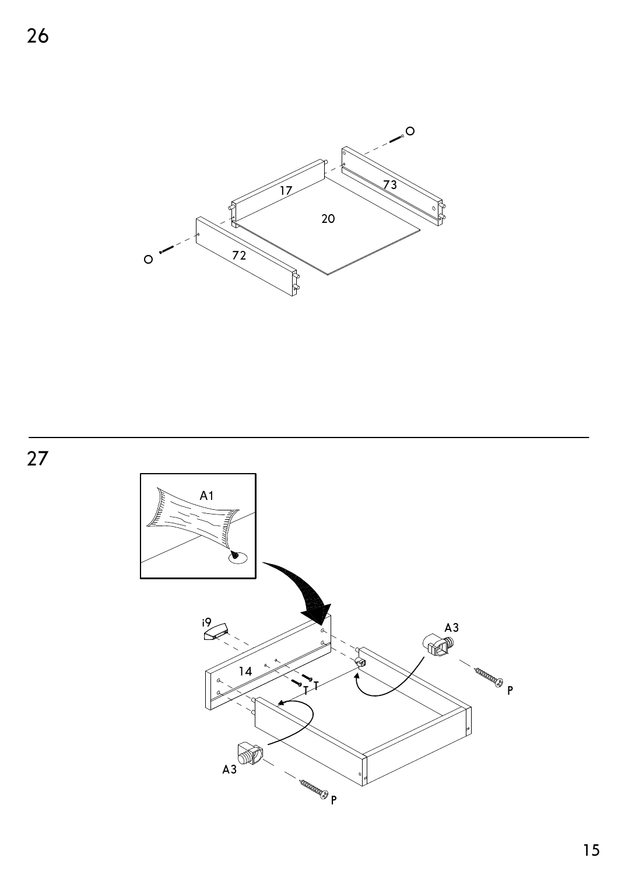

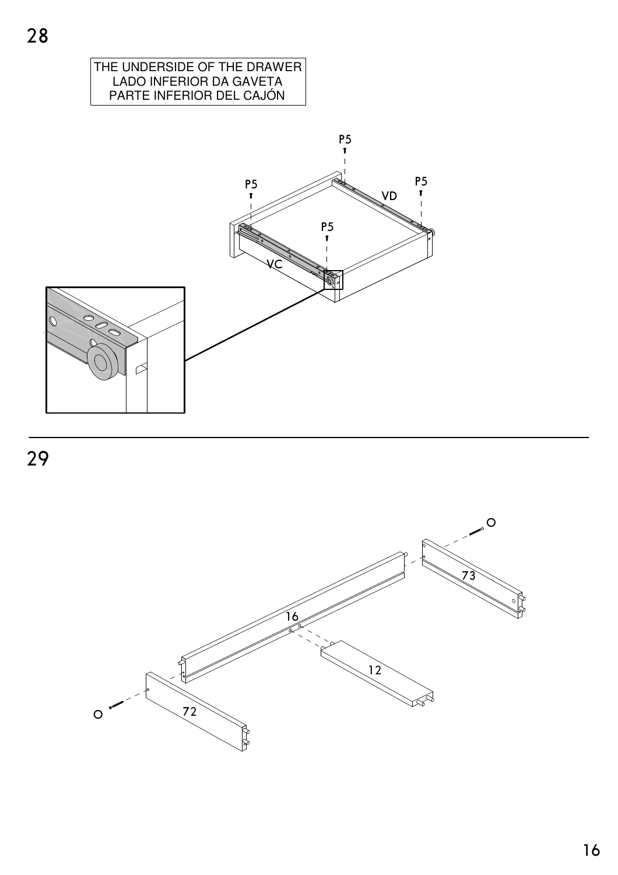

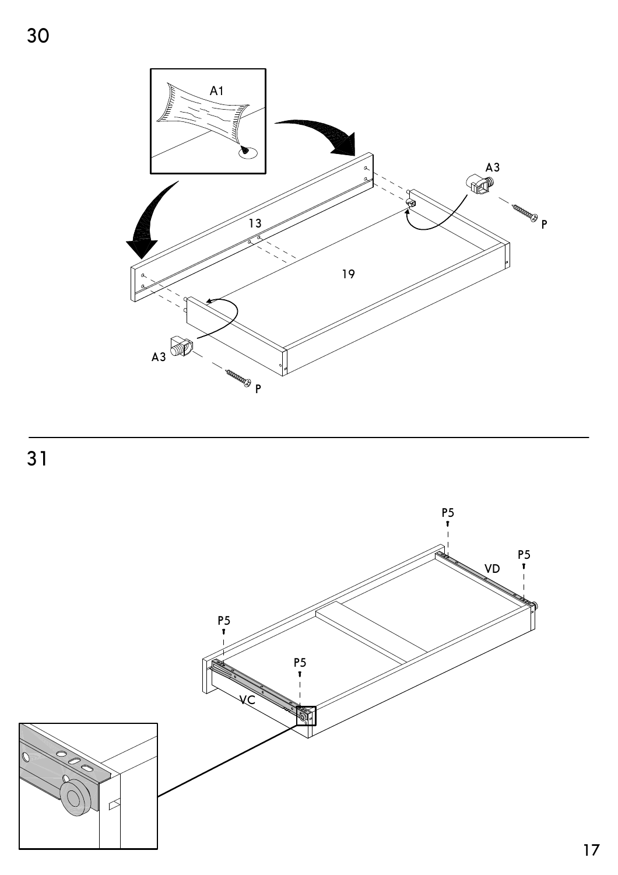



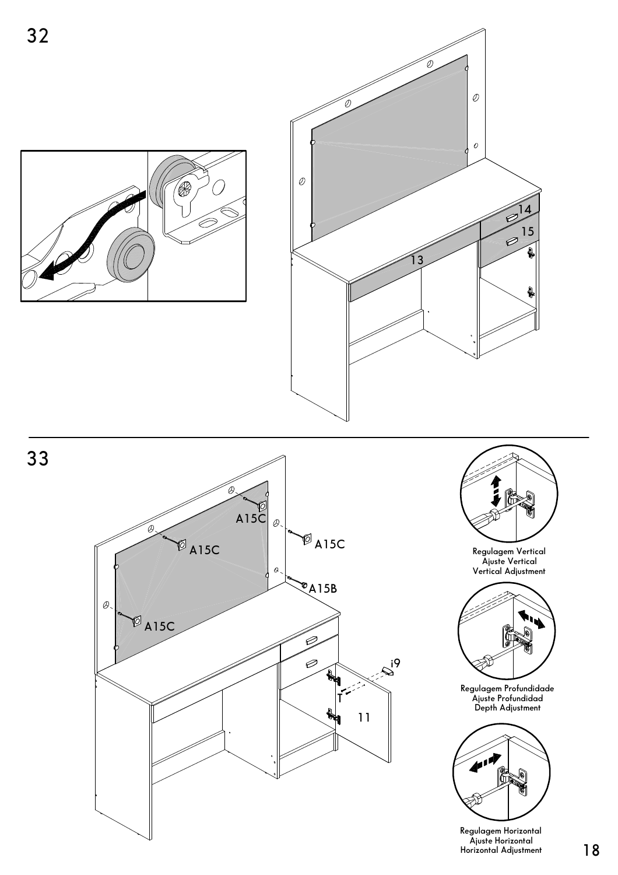









**Depth Adjustment Regulagem Profundidade Ajuste Profundidad**



**Horizontal Adjustment Regulagem Horizontal Ajuste Horizontal**